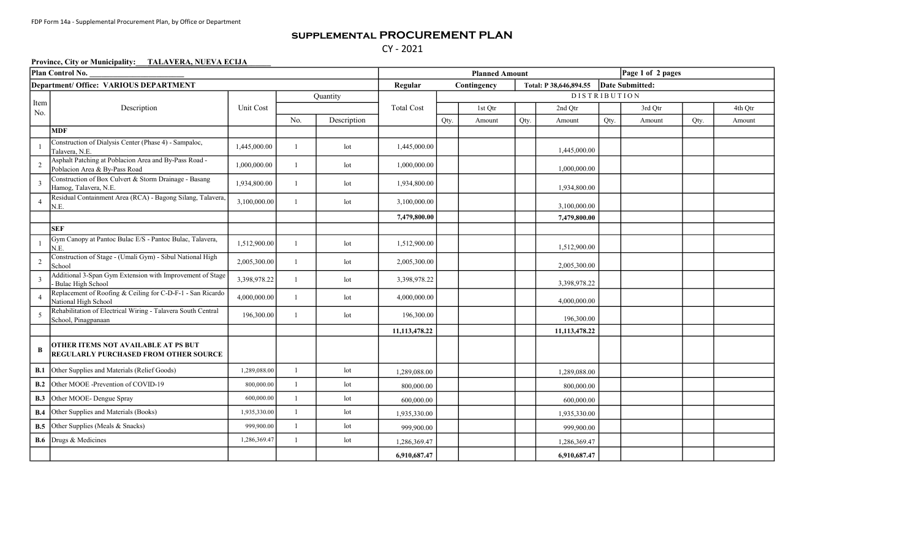## supplemental PROCUREMENT PLAN CY - 2021

## Province, City or Municipality: TALAVERA, NUEVA ECIJA

| Plan Control No.                       |                                                                                        |              |                 |                 |                   | Page 1 of 2 pages<br><b>Planned Amount</b> |         |      |               |                 |         |      |         |  |
|----------------------------------------|----------------------------------------------------------------------------------------|--------------|-----------------|-----------------|-------------------|--------------------------------------------|---------|------|---------------|-----------------|---------|------|---------|--|
| Department/ Office: VARIOUS DEPARTMENT |                                                                                        |              |                 |                 |                   | Contingency<br>Total: P 38,646,894.55      |         |      |               | Date Submitted: |         |      |         |  |
|                                        |                                                                                        |              | <b>Quantity</b> |                 |                   | <b>DISTRIBUTION</b>                        |         |      |               |                 |         |      |         |  |
| Item<br>No.                            | Description                                                                            | Unit Cost    |                 |                 | <b>Total Cost</b> |                                            | 1st Otr |      | 2nd Otr       |                 | 3rd Qtr |      | 4th Otr |  |
|                                        |                                                                                        |              | No.             | Description     |                   | Qty.                                       | Amount  | Qty. | Amount        | Qty.            | Amount  | Qty. | Amount  |  |
|                                        | <b>MDF</b>                                                                             |              |                 |                 |                   |                                            |         |      |               |                 |         |      |         |  |
|                                        | Construction of Dialysis Center (Phase 4) - Sampaloc,<br>Talavera, N.E.                | 1,445,000.00 | $\overline{1}$  | lot             | 1,445,000.00      |                                            |         |      | 1,445,000.00  |                 |         |      |         |  |
|                                        | Asphalt Patching at Poblacion Area and By-Pass Road -<br>Poblacion Area & By-Pass Road | 1,000,000.00 | $\overline{1}$  | lot             | 1,000,000.00      |                                            |         |      | 1,000,000.00  |                 |         |      |         |  |
| $\overline{3}$                         | Construction of Box Culvert & Storm Drainage - Basang<br>Hamog, Talavera, N.E.         | 1,934,800.00 | $\overline{1}$  | lot             | 1,934,800.00      |                                            |         |      | 1,934,800.00  |                 |         |      |         |  |
|                                        | Residual Containment Area (RCA) - Bagong Silang, Talavera,<br>N.E.                     | 3,100,000.00 | $\overline{1}$  | lot             | 3,100,000.00      |                                            |         |      | 3,100,000.00  |                 |         |      |         |  |
|                                        |                                                                                        |              |                 |                 | 7,479,800.00      |                                            |         |      | 7,479,800.00  |                 |         |      |         |  |
|                                        | <b>SEF</b>                                                                             |              |                 |                 |                   |                                            |         |      |               |                 |         |      |         |  |
|                                        | Gym Canopy at Pantoc Bulac E/S - Pantoc Bulac, Talavera,<br>N.E.                       | 1,512,900.00 | $\overline{1}$  | lot             | 1,512,900.00      |                                            |         |      | 1,512,900.00  |                 |         |      |         |  |
| 2                                      | Construction of Stage - (Umali Gym) - Sibul National High<br>School                    | 2,005,300.00 | $\overline{1}$  | lot             | 2,005,300.00      |                                            |         |      | 2,005,300.00  |                 |         |      |         |  |
| 3                                      | Additional 3-Span Gym Extension with Improvement of Stage<br>Bulac High School         | 3,398,978.22 | $\mathbf{1}$    | lot             | 3,398,978.22      |                                            |         |      | 3,398,978.22  |                 |         |      |         |  |
| $\overline{4}$                         | Replacement of Roofing & Ceiling for C-D-F-1 - San Ricardo<br>National High School     | 4,000,000.00 | $\overline{1}$  | lot             | 4,000,000.00      |                                            |         |      | 4,000,000.00  |                 |         |      |         |  |
| 5                                      | Rehabilitation of Electrical Wiring - Talavera South Central<br>School, Pinagpanaan    | 196,300.00   |                 | lot             | 196,300.00        |                                            |         |      | 196,300.00    |                 |         |      |         |  |
|                                        |                                                                                        |              |                 |                 | 11,113,478.22     |                                            |         |      | 11,113,478.22 |                 |         |      |         |  |
| B                                      | OTHER ITEMS NOT AVAILABLE AT PS BUT<br><b>REGULARLY PURCHASED FROM OTHER SOURCE</b>    |              |                 |                 |                   |                                            |         |      |               |                 |         |      |         |  |
| <b>B.1</b>                             | Other Supplies and Materials (Relief Goods)                                            | 1,289,088.00 | $\overline{1}$  | $_{\text{lot}}$ | 1,289,088.00      |                                            |         |      | 1,289,088.00  |                 |         |      |         |  |
| B.2                                    | Other MOOE -Prevention of COVID-19                                                     | 800,000.00   | $\mathbf{1}$    | $_{\text{lot}}$ | 800,000.00        |                                            |         |      | 800,000.00    |                 |         |      |         |  |
| <b>B.3</b>                             | Other MOOE- Dengue Spray                                                               | 600,000.00   | $\overline{1}$  | lot             | 600,000.00        |                                            |         |      | 600,000.00    |                 |         |      |         |  |
| <b>B.4</b>                             | Other Supplies and Materials (Books)                                                   | 1,935,330.00 | $\overline{1}$  | lot             | 1,935,330.00      |                                            |         |      | 1,935,330.00  |                 |         |      |         |  |
| B.5                                    | Other Supplies (Meals & Snacks)                                                        | 999,900.00   |                 | $_{\text{lot}}$ | 999,900.00        |                                            |         |      | 999,900.00    |                 |         |      |         |  |
|                                        | <b>B.6</b> Drugs & Medicines                                                           | 1,286,369.47 | $\mathbf{1}$    | lot             | 1,286,369.47      |                                            |         |      | 1,286,369.47  |                 |         |      |         |  |
|                                        |                                                                                        |              |                 |                 | 6,910,687.47      |                                            |         |      | 6,910,687.47  |                 |         |      |         |  |